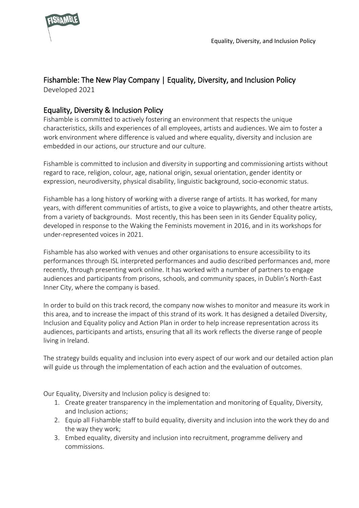

## Fishamble: The New Play Company | Equality, Diversity, and Inclusion Policy

Developed 2021

## Equality, Diversity & Inclusion Policy

Fishamble is committed to actively fostering an environment that respects the unique characteristics, skills and experiences of all employees, artists and audiences. We aim to foster a work environment where difference is valued and where equality, diversity and inclusion are embedded in our actions, our structure and our culture.

Fishamble is committed to inclusion and diversity in supporting and commissioning artists without regard to race, religion, colour, age, national origin, sexual orientation, gender identity or expression, neurodiversity, physical disability, linguistic background, socio-economic status.

Fishamble has a long history of working with a diverse range of artists. It has worked, for many years, with different communities of artists, to give a voice to playwrights, and other theatre artists, from a variety of backgrounds. Most recently, this has been seen in its Gender Equality policy, developed in response to the Waking the Feminists movement in 2016, and in its workshops for under-represented voices in 2021.

Fishamble has also worked with venues and other organisations to ensure accessibility to its performances through ISL interpreted performances and audio described performances and, more recently, through presenting work online. It has worked with a number of partners to engage audiences and participants from prisons, schools, and community spaces, in Dublin's North-East Inner City, where the company is based.

In order to build on this track record, the company now wishes to monitor and measure its work in this area, and to increase the impact of this strand of its work. It has designed a detailed Diversity, Inclusion and Equality policy and Action Plan in order to help increase representation across its audiences, participants and artists, ensuring that all its work reflects the diverse range of people living in Ireland.

The strategy builds equality and inclusion into every aspect of our work and our detailed action plan will guide us through the implementation of each action and the evaluation of outcomes.

Our Equality, Diversity and Inclusion policy is designed to:

- 1. Create greater transparency in the implementation and monitoring of Equality, Diversity, and Inclusion actions;
- 2. Equip all Fishamble staff to build equality, diversity and inclusion into the work they do and the way they work;
- 3. Embed equality, diversity and inclusion into recruitment, programme delivery and commissions.